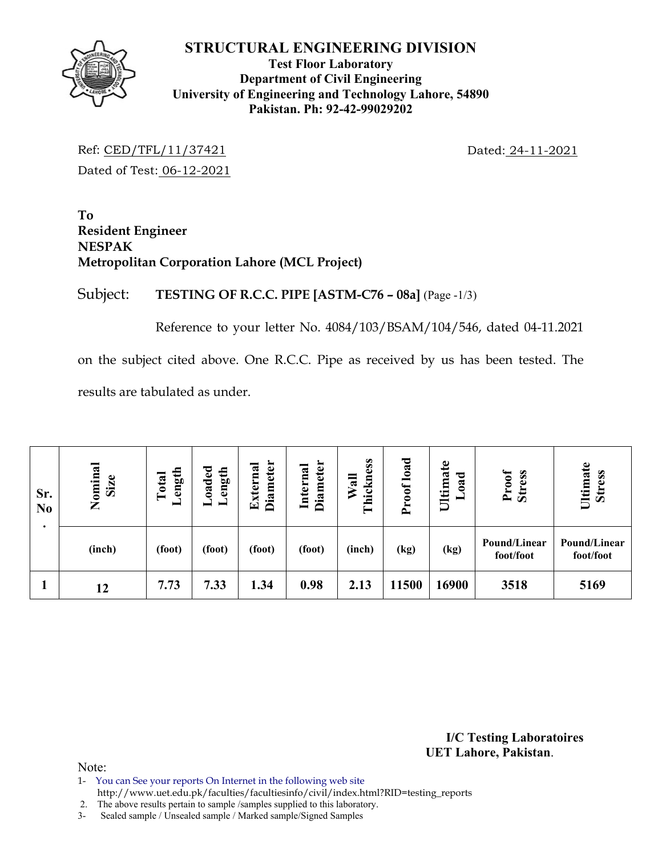

# **Test Floor Laboratory Department of Civil Engineering University of Engineering and Technology Lahore, 54890 Pakistan. Ph: 92-42-99029202**

Ref: CED/TFL/11/37421 Dated: 24-11-2021 Dated of Test: 06-12-2021

**To Resident Engineer NESPAK Metropolitan Corporation Lahore (MCL Project)** 

Subject: **TESTING OF R.C.C. PIPE [ASTM-C76 – 08a]** (Page -1/3)

Reference to your letter No. 4084/103/BSAM/104/546, dated 04-11.2021

on the subject cited above. One R.C.C. Pipe as received by us has been tested. The results are tabulated as under.

| Sr.<br>N <sub>0</sub> | Nominal<br>Size | ength<br>Total | oaded<br>ength | <b>Diameter</b><br>Externa | Diameter<br>Internal | Thickness<br>$W$ all | Proof load | Ultimate<br>bad<br>━ | Proof<br><b>Stress</b>    | Ultimate<br><b>Stress</b> |
|-----------------------|-----------------|----------------|----------------|----------------------------|----------------------|----------------------|------------|----------------------|---------------------------|---------------------------|
|                       | (inch)          | (foot)         | (foot)         | (foot)                     | (foot)               | (inch)               | (kg)       | (kg)                 | Pound/Linear<br>foot/foot | Pound/Linear<br>foot/foot |
|                       | 12              | 7.73           | 7.33           | 1.34                       | 0.98                 | 2.13                 | 11500      | 16900                | 3518                      | 5169                      |

**I/C Testing Laboratoires UET Lahore, Pakistan**.

Note:

1- You can See your reports On Internet in the following web site

http://www.uet.edu.pk/faculties/facultiesinfo/civil/index.html?RID=testing\_reports

2. The above results pertain to sample /samples supplied to this laboratory.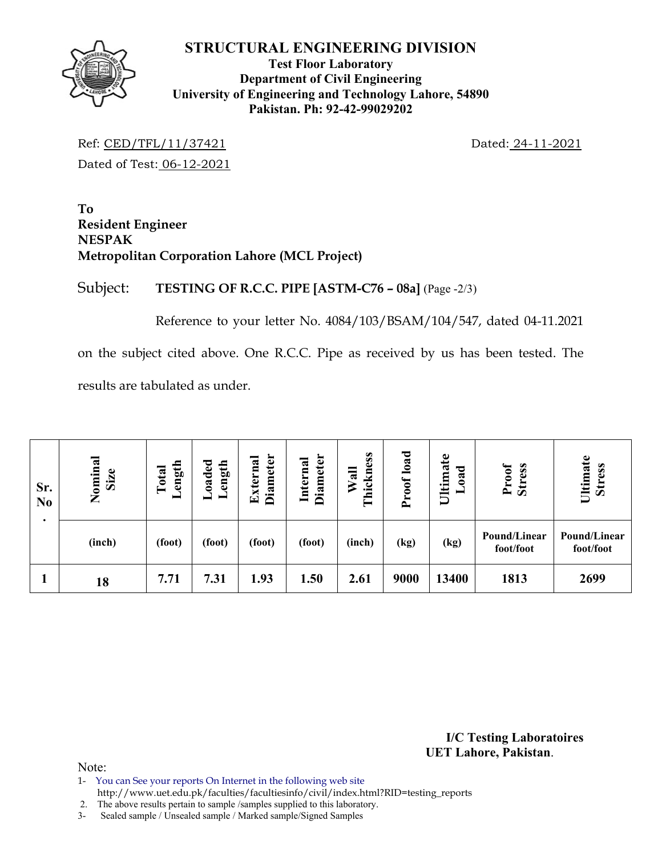**Test Floor Laboratory Department of Civil Engineering University of Engineering and Technology Lahore, 54890 Pakistan. Ph: 92-42-99029202** 

Ref: CED/TFL/11/37421 Dated: 24-11-2021 Dated of Test: 06-12-2021

**To Resident Engineer NESPAK Metropolitan Corporation Lahore (MCL Project)** 

Subject: **TESTING OF R.C.C. PIPE [ASTM-C76 – 08a]** (Page -2/3)

Reference to your letter No. 4084/103/BSAM/104/547, dated 04-11.2021

on the subject cited above. One R.C.C. Pipe as received by us has been tested. The results are tabulated as under.

| Sr.<br>N <sub>0</sub> | Nominal<br>Size | ength<br>Total | oaded<br>ength<br>┙ | <b>Diameter</b><br>xterna<br>囯 | <b>Diameter</b><br>Internal | Thickness<br>$W$ all | Proof load | Ultimate<br>bad<br>━ | <b>Stress</b><br>Proof    | Ultimate<br><b>Stress</b> |
|-----------------------|-----------------|----------------|---------------------|--------------------------------|-----------------------------|----------------------|------------|----------------------|---------------------------|---------------------------|
|                       | (inch)          | (foot)         | (foot)              | (foot)                         | (foot)                      | (inch)               | (kg)       | (kg)                 | Pound/Linear<br>foot/foot | Pound/Linear<br>foot/foot |
|                       | 18              | 7.71           | 7.31                | 1.93                           | 1.50                        | 2.61                 | 9000       | 13400                | 1813                      | 2699                      |

**I/C Testing Laboratoires UET Lahore, Pakistan**.

Note:

1- You can See your reports On Internet in the following web site http://www.uet.edu.pk/faculties/facultiesinfo/civil/index.html?RID=testing\_reports

2. The above results pertain to sample /samples supplied to this laboratory.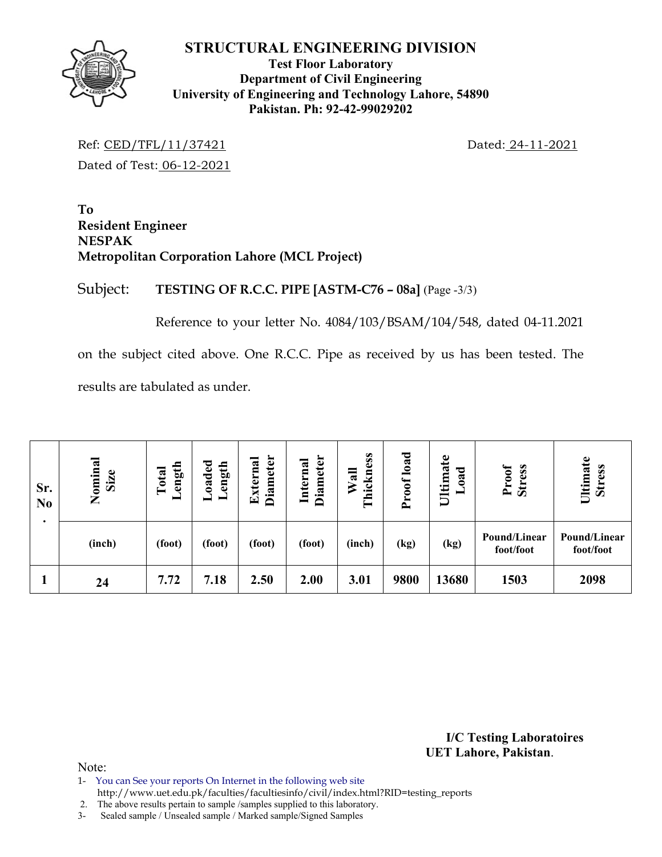**Test Floor Laboratory Department of Civil Engineering University of Engineering and Technology Lahore, 54890 Pakistan. Ph: 92-42-99029202** 

Ref: CED/TFL/11/37421 Dated: 24-11-2021 Dated of Test: 06-12-2021

**To Resident Engineer NESPAK Metropolitan Corporation Lahore (MCL Project)** 

Subject: **TESTING OF R.C.C. PIPE [ASTM-C76 – 08a]** (Page -3/3)

Reference to your letter No. 4084/103/BSAM/104/548, dated 04-11.2021

on the subject cited above. One R.C.C. Pipe as received by us has been tested. The results are tabulated as under.

| Sr.<br>N <sub>0</sub> | Nominal<br>Size | ength<br>Total<br>- | $0a$ ded<br>ength<br>╺ | <b>Diameter</b><br>xterna<br>덕 | Diameter<br>Internal | Thickness<br>$W$ all | Proof load | Ultimate<br><b>b</b> so<br>━ | <b>Stress</b><br>Proof    | Ultimate<br>Stress        |
|-----------------------|-----------------|---------------------|------------------------|--------------------------------|----------------------|----------------------|------------|------------------------------|---------------------------|---------------------------|
|                       | (inch)          | (foot)              | (foot)                 | (foot)                         | (foot)               | (inch)               | (kg)       | (kg)                         | Pound/Linear<br>foot/foot | Pound/Linear<br>foot/foot |
|                       | 24              | 7.72                | 7.18                   | 2.50                           | 2.00                 | 3.01                 | 9800       | 13680                        | 1503                      | 2098                      |

**I/C Testing Laboratoires UET Lahore, Pakistan**.

- 1- You can See your reports On Internet in the following web site
- http://www.uet.edu.pk/faculties/facultiesinfo/civil/index.html?RID=testing\_reports
- 2. The above results pertain to sample /samples supplied to this laboratory.
- 3- Sealed sample / Unsealed sample / Marked sample/Signed Samples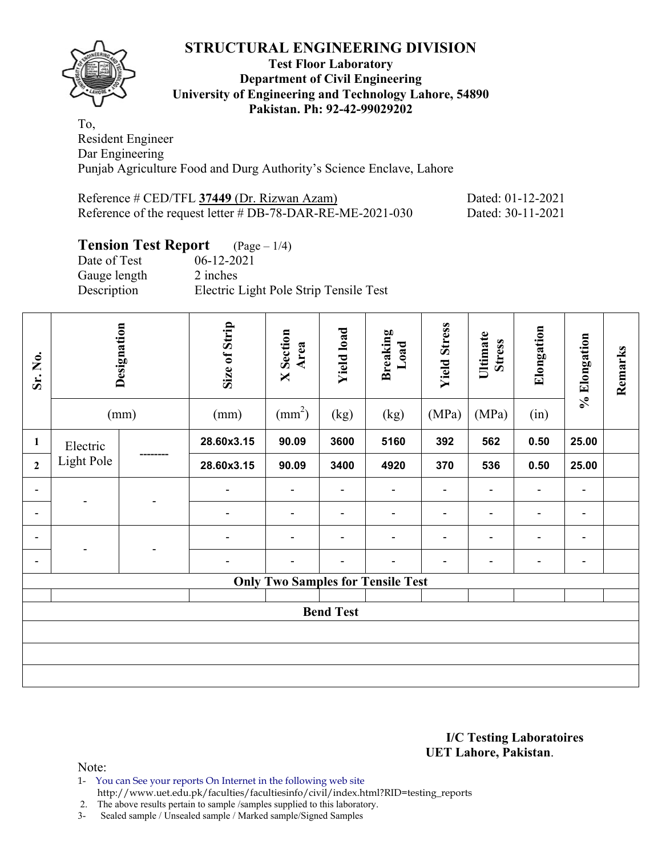

### **Test Floor Laboratory Department of Civil Engineering University of Engineering and Technology Lahore, 54890 Pakistan. Ph: 92-42-99029202**

To, Resident Engineer Dar Engineering Punjab Agriculture Food and Durg Authority's Science Enclave, Lahore

| Reference # CED/TFL 37449 (Dr. Rizwan Azam)                   | Dated: 01-12-2021 |
|---------------------------------------------------------------|-------------------|
| Reference of the request letter $\#$ DB-78-DAR-RE-ME-2021-030 | Dated: 30-11-2021 |

# **Tension Test Report** (Page – 1/4)

| Date of Test | $06-12-2021$                           |
|--------------|----------------------------------------|
| Gauge length | 2 inches                               |
| Description  | Electric Light Pole Strip Tensile Test |

| Sr. No.        | Designation<br>(mm) |                | Size of Strip<br>(mm) | <b>X</b> Section<br>Area<br>$\text{(mm}^2)$ | <b>Yield load</b><br>(kg) | <b>Breaking</b><br>Load<br>(kg)          | <b>Yield Stress</b><br>(MPa) | Ultimate<br><b>Stress</b><br>(MPa) | Elongation<br>(in) | % Elongation             | Remarks |
|----------------|---------------------|----------------|-----------------------|---------------------------------------------|---------------------------|------------------------------------------|------------------------------|------------------------------------|--------------------|--------------------------|---------|
| $\mathbf{1}$   | Electric            |                | 28.60x3.15            | 90.09                                       | 3600                      | 5160                                     | 392                          | 562                                | 0.50               | 25.00                    |         |
| $\overline{2}$ | <b>Light Pole</b>   |                | 28.60x3.15            | 90.09                                       | 3400                      | 4920                                     | 370                          | 536                                | 0.50               | 25.00                    |         |
| Ξ.             |                     |                | $\overline{a}$        |                                             | $\overline{\phantom{0}}$  |                                          | $\blacksquare$               |                                    |                    | $\overline{\phantom{0}}$ |         |
| Ξ.             |                     | $\overline{a}$ |                       |                                             |                           |                                          |                              |                                    |                    |                          |         |
| Ξ.             |                     |                |                       |                                             | $\blacksquare$            |                                          | $\blacksquare$               | $\overline{\phantom{0}}$           | $\blacksquare$     | $\blacksquare$           |         |
| -              |                     |                |                       |                                             |                           |                                          | -                            |                                    | $\blacksquare$     | $\overline{\phantom{0}}$ |         |
|                |                     |                |                       |                                             |                           | <b>Only Two Samples for Tensile Test</b> |                              |                                    |                    |                          |         |
|                | <b>Bend Test</b>    |                |                       |                                             |                           |                                          |                              |                                    |                    |                          |         |
|                |                     |                |                       |                                             |                           |                                          |                              |                                    |                    |                          |         |
|                |                     |                |                       |                                             |                           |                                          |                              |                                    |                    |                          |         |
|                |                     |                |                       |                                             |                           |                                          |                              |                                    |                    |                          |         |

### **I/C Testing Laboratoires UET Lahore, Pakistan**.

- 1- You can See your reports On Internet in the following web site
- http://www.uet.edu.pk/faculties/facultiesinfo/civil/index.html?RID=testing\_reports
- 2. The above results pertain to sample /samples supplied to this laboratory.
- 3- Sealed sample / Unsealed sample / Marked sample/Signed Samples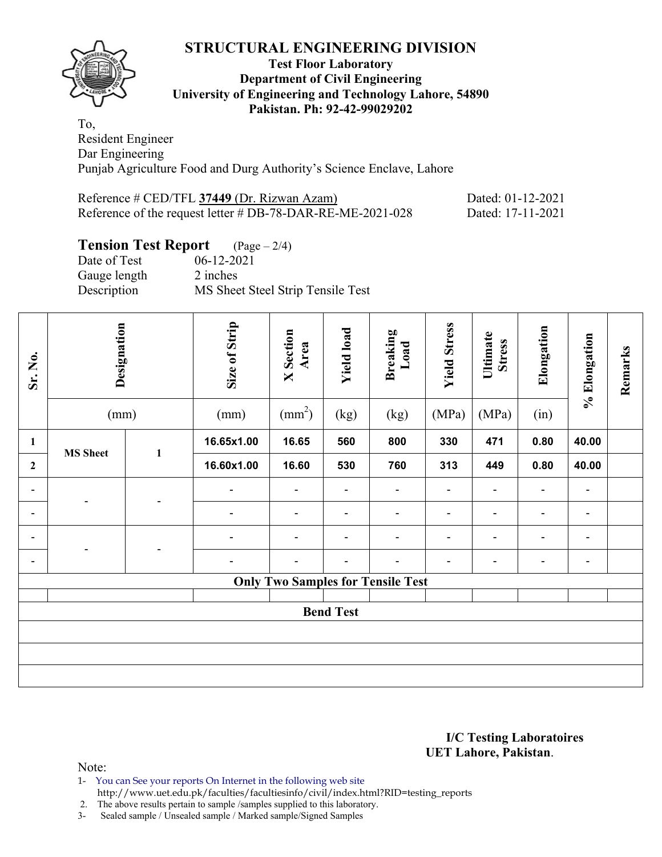

### **Test Floor Laboratory Department of Civil Engineering University of Engineering and Technology Lahore, 54890 Pakistan. Ph: 92-42-99029202**

To, Resident Engineer Dar Engineering Punjab Agriculture Food and Durg Authority's Science Enclave, Lahore

| Reference # CED/TFL 37449 (Dr. Rizwan Azam)                   | Dated: 01-12-2021 |
|---------------------------------------------------------------|-------------------|
| Reference of the request letter $\#$ DB-78-DAR-RE-ME-2021-028 | Dated: 17-11-2021 |

# **Tension Test Report** (Page – 2/4)

| Date of Test | $06-12-2021$                      |
|--------------|-----------------------------------|
| Gauge length | 2 inches                          |
| Description  | MS Sheet Steel Strip Tensile Test |

| Sr. No.        | Designation<br>(mm) |              | Size of Strip<br>(mm) | <b>X</b> Section<br>Area<br>$\text{(mm}^2)$ | <b>Yield load</b><br>(kg) | <b>Breaking</b><br>Load<br>(kg)          | <b>Yield Stress</b><br>(MPa) | Ultimate<br><b>Stress</b><br>(MPa) | Elongation<br>(in) | % Elongation             | Remarks |
|----------------|---------------------|--------------|-----------------------|---------------------------------------------|---------------------------|------------------------------------------|------------------------------|------------------------------------|--------------------|--------------------------|---------|
| $\mathbf{1}$   |                     |              | 16.65x1.00            | 16.65                                       | 560                       | 800                                      | 330                          | 471                                | 0.80               | 40.00                    |         |
| $\overline{2}$ | <b>MS</b> Sheet     | $\mathbf{1}$ | 16.60x1.00            | 16.60                                       | 530                       | 760                                      | 313                          | 449                                | 0.80               | 40.00                    |         |
| $\blacksquare$ |                     |              |                       | $\blacksquare$                              | $\blacksquare$            | $\blacksquare$                           | $\blacksquare$               | $\blacksquare$                     |                    | $\overline{\phantom{0}}$ |         |
| Ξ.             | $\overline{a}$      |              |                       | -                                           |                           | $\blacksquare$                           |                              |                                    |                    |                          |         |
| $\blacksquare$ |                     |              |                       | $\blacksquare$                              | $\blacksquare$            | $\blacksquare$                           | $\blacksquare$               | $\overline{\phantom{0}}$           | $\blacksquare$     | $\overline{\phantom{0}}$ |         |
| ۰              |                     |              |                       | $\blacksquare$                              | $\overline{\phantom{0}}$  | $\blacksquare$                           | $\blacksquare$               | $\overline{\phantom{0}}$           | $\overline{a}$     | $\blacksquare$           |         |
|                |                     |              |                       |                                             |                           | <b>Only Two Samples for Tensile Test</b> |                              |                                    |                    |                          |         |
|                | <b>Bend Test</b>    |              |                       |                                             |                           |                                          |                              |                                    |                    |                          |         |
|                |                     |              |                       |                                             |                           |                                          |                              |                                    |                    |                          |         |
|                |                     |              |                       |                                             |                           |                                          |                              |                                    |                    |                          |         |
|                |                     |              |                       |                                             |                           |                                          |                              |                                    |                    |                          |         |

### **I/C Testing Laboratoires UET Lahore, Pakistan**.

- 1- You can See your reports On Internet in the following web site
- http://www.uet.edu.pk/faculties/facultiesinfo/civil/index.html?RID=testing\_reports
- 2. The above results pertain to sample /samples supplied to this laboratory.
- 3- Sealed sample / Unsealed sample / Marked sample/Signed Samples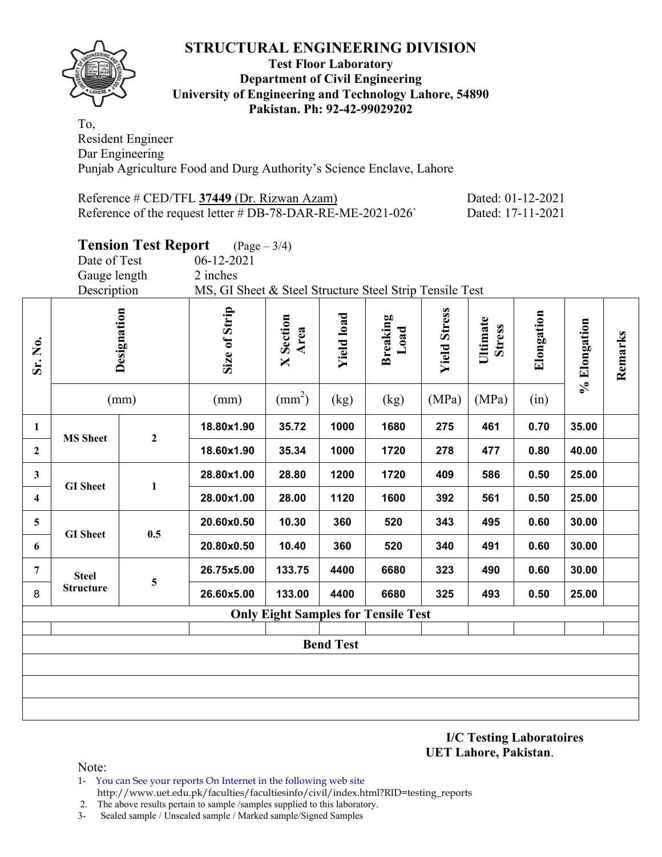

### **Test Floor Laboratory Department of Civil Engineering University of Engineering and Technology Lahore, 54890 Pakistan. Ph: 92-42-99029202**

To, Resident Engineer Dar Engineering Punjab Agriculture Food and Durg Authority's Science Enclave, Lahore

| Reference # CED/TFL 37449 (Dr. Rizwan Azam)                   | Dated: 01-12-2021 |
|---------------------------------------------------------------|-------------------|
| Reference of the request letter $\#$ DB-78-DAR-RE-ME-2021-026 | Dated: 17-11-2021 |

|                         |                                                                        | <b>Tension Test Report</b> | $(Page - 3/4)$   |                                            |                   |                         |                     |                           |            |              |         |
|-------------------------|------------------------------------------------------------------------|----------------------------|------------------|--------------------------------------------|-------------------|-------------------------|---------------------|---------------------------|------------|--------------|---------|
|                         | Date of Test                                                           |                            | $06 - 12 - 2021$ |                                            |                   |                         |                     |                           |            |              |         |
|                         | Gauge length                                                           |                            | 2 inches         |                                            |                   |                         |                     |                           |            |              |         |
|                         | Description<br>MS, GI Sheet & Steel Structure Steel Strip Tensile Test |                            |                  |                                            |                   |                         |                     |                           |            |              |         |
| Sr. No.                 | Designation                                                            |                            | Size of Strip    | <b>X</b> Section<br>Area                   | <b>Yield load</b> | <b>Breaking</b><br>Load | <b>Yield Stress</b> | Ultimate<br><b>Stress</b> | Elongation | % Elongation | Remarks |
|                         | (mm)                                                                   |                            | (mm)             | $\text{(mm}^2)$                            | (kg)              | (kg)                    | (MPa)               | (MPa)                     | (in)       |              |         |
| $\mathbf{1}$            | <b>MS</b> Sheet                                                        | $\boldsymbol{2}$           | 18.80x1.90       | 35.72                                      | 1000              | 1680                    | 275                 | 461                       | 0.70       | 35.00        |         |
| $\boldsymbol{2}$        |                                                                        |                            | 18.60x1.90       | 35.34                                      | 1000              | 1720                    | 278                 | 477                       | 0.80       | 40.00        |         |
| $\mathbf{3}$            | <b>GI</b> Sheet                                                        |                            | 28.80x1.00       | 28.80                                      | 1200              | 1720                    | 409                 | 586                       | 0.50       | 25.00        |         |
| $\overline{\mathbf{4}}$ |                                                                        | $\mathbf{1}$               | 28.00x1.00       | 28.00                                      | 1120              | 1600                    | 392                 | 561                       | 0.50       | 25.00        |         |
| 5                       | <b>GI</b> Sheet                                                        | 0.5                        | 20.60x0.50       | 10.30                                      | 360               | 520                     | 343                 | 495                       | 0.60       | 30.00        |         |
| 6                       |                                                                        |                            | 20.80x0.50       | 10.40                                      | 360               | 520                     | 340                 | 491                       | 0.60       | 30.00        |         |
| $\overline{7}$          | <b>Steel</b>                                                           | 5                          | 26.75x5.00       | 133.75                                     | 4400              | 6680                    | 323                 | 490                       | 0.60       | 30.00        |         |
| 8                       | <b>Structure</b>                                                       |                            | 26.60x5.00       | 133.00                                     | 4400              | 6680                    | 325                 | 493                       | 0.50       | 25.00        |         |
|                         |                                                                        |                            |                  | <b>Only Eight Samples for Tensile Test</b> |                   |                         |                     |                           |            |              |         |
|                         |                                                                        |                            |                  |                                            |                   |                         |                     |                           |            |              |         |
|                         |                                                                        |                            |                  |                                            | <b>Bend Test</b>  |                         |                     |                           |            |              |         |
|                         |                                                                        |                            |                  |                                            |                   |                         |                     |                           |            |              |         |
|                         |                                                                        |                            |                  |                                            |                   |                         |                     |                           |            |              |         |
|                         |                                                                        |                            |                  |                                            |                   |                         |                     |                           |            |              |         |
|                         |                                                                        |                            |                  |                                            |                   |                         |                     |                           |            |              |         |

**I/C Testing Laboratoires UET Lahore, Pakistan**.

Note:

1- You can See your reports On Internet in the following web site http://www.uet.edu.pk/faculties/facultiesinfo/civil/index.html?RID=testing\_reports

2. The above results pertain to sample /samples supplied to this laboratory.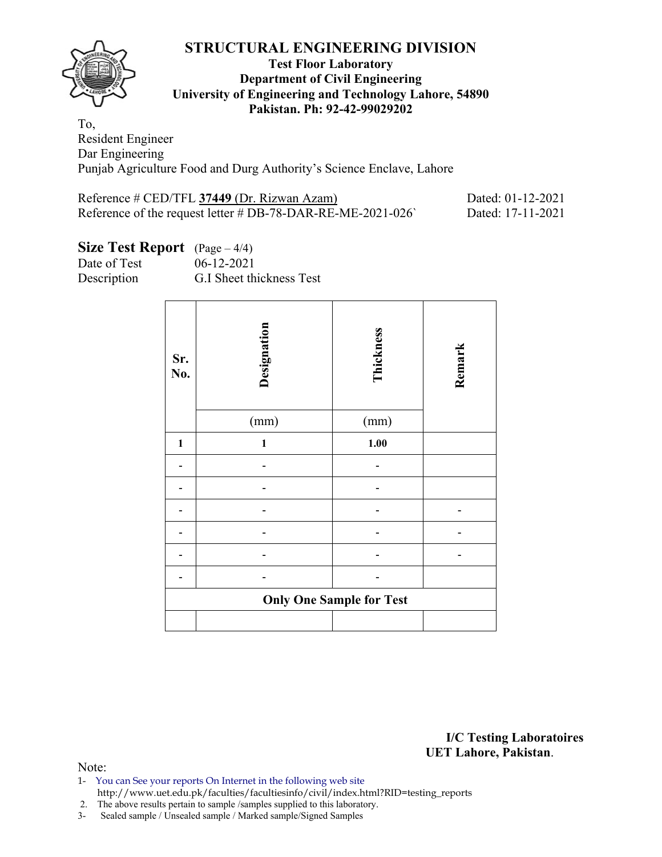

### **Test Floor Laboratory Department of Civil Engineering University of Engineering and Technology Lahore, 54890 Pakistan. Ph: 92-42-99029202**

To, Resident Engineer Dar Engineering Punjab Agriculture Food and Durg Authority's Science Enclave, Lahore

| Reference # CED/TFL 37449 (Dr. Rizwan Azam)                | Dated: 01-12-2021 |
|------------------------------------------------------------|-------------------|
| Reference of the request letter # DB-78-DAR-RE-ME-2021-026 | Dated: 17-11-2021 |

# **Size Test Report** (Page – 4/4)

Date of Test 06-12-2021 Description G.I Sheet thickness Test

| Sr.<br>$\mathbf{N}\mathbf{0}$ . | Designation<br>(mm) | Thickness<br>(mm)               | Remark |
|---------------------------------|---------------------|---------------------------------|--------|
| $\mathbf{1}$                    | 1                   | $1.00$                          |        |
|                                 |                     |                                 |        |
|                                 |                     |                                 |        |
|                                 |                     |                                 |        |
|                                 |                     |                                 |        |
|                                 |                     |                                 |        |
|                                 |                     |                                 |        |
|                                 |                     | <b>Only One Sample for Test</b> |        |
|                                 |                     |                                 |        |

**I/C Testing Laboratoires UET Lahore, Pakistan**.

Note:

1- You can See your reports On Internet in the following web site http://www.uet.edu.pk/faculties/facultiesinfo/civil/index.html?RID=testing\_reports

2. The above results pertain to sample /samples supplied to this laboratory.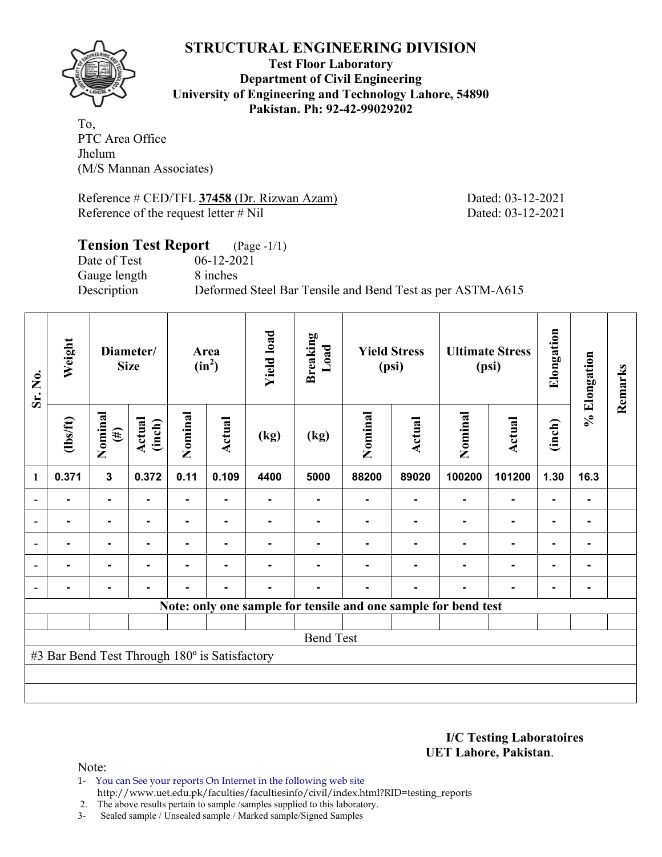

**Test Floor Laboratory Department of Civil Engineering University of Engineering and Technology Lahore, 54890 Pakistan. Ph: 92-42-99029202** 

To, PTC Area Office Jhelum (M/S Mannan Associates)

Reference # CED/TFL **37458** (Dr. Rizwan Azam) Dated: 03-12-2021 Reference of the request letter # Nil Dated: 03-12-2021

# **Tension Test Report** (Page -1/1) Date of Test 06-12-2021 Gauge length 8 inches Description Deformed Steel Bar Tensile and Bend Test as per ASTM-A615

| Sr. No. | Weight                                        |                   | Diameter/<br><b>Size</b> |                | Area<br>$(in^2)$ | <b>Yield load</b> | <b>Breaking</b><br>Load |         | <b>Yield Stress</b><br>(psi) |                                                                | <b>Ultimate Stress</b><br>(psi) | Elongation     | % Elongation | Remarks |
|---------|-----------------------------------------------|-------------------|--------------------------|----------------|------------------|-------------------|-------------------------|---------|------------------------------|----------------------------------------------------------------|---------------------------------|----------------|--------------|---------|
|         | $\frac{2}{10}$                                | Nominal<br>$(\#)$ | Actual<br>(inch)         | Nominal        | Actual           | (kg)              | (kg)                    | Nominal | <b>Actual</b>                | Nominal                                                        | Actual                          | (inch)         |              |         |
| 1       | 0.371                                         | $\mathbf{3}$      | 0.372                    | 0.11           | 0.109            | 4400              | 5000                    | 88200   | 89020                        | 100200                                                         | 101200                          | 1.30           | 16.3         |         |
|         |                                               | $\blacksquare$    |                          | $\blacksquare$ |                  |                   |                         |         |                              |                                                                | $\blacksquare$                  | ۰              |              |         |
|         |                                               |                   |                          |                |                  |                   |                         |         |                              |                                                                |                                 |                |              |         |
|         |                                               | ۰                 |                          |                |                  |                   |                         |         |                              |                                                                |                                 | $\blacksquare$ |              |         |
|         |                                               | $\blacksquare$    |                          |                |                  |                   |                         |         |                              |                                                                | $\blacksquare$                  | $\blacksquare$ |              |         |
|         | $\blacksquare$                                | $\blacksquare$    | $\blacksquare$           | ۰              | $\blacksquare$   |                   | -                       |         | $\blacksquare$               |                                                                | $\blacksquare$                  | $\blacksquare$ |              |         |
|         |                                               |                   |                          |                |                  |                   |                         |         |                              | Note: only one sample for tensile and one sample for bend test |                                 |                |              |         |
|         |                                               |                   |                          |                |                  |                   |                         |         |                              |                                                                |                                 |                |              |         |
|         |                                               |                   |                          |                |                  |                   | <b>Bend Test</b>        |         |                              |                                                                |                                 |                |              |         |
|         | #3 Bar Bend Test Through 180° is Satisfactory |                   |                          |                |                  |                   |                         |         |                              |                                                                |                                 |                |              |         |
|         |                                               |                   |                          |                |                  |                   |                         |         |                              |                                                                |                                 |                |              |         |
|         |                                               |                   |                          |                |                  |                   |                         |         |                              |                                                                |                                 |                |              |         |

**I/C Testing Laboratoires UET Lahore, Pakistan**.

Note:

1- You can See your reports On Internet in the following web site http://www.uet.edu.pk/faculties/facultiesinfo/civil/index.html?RID=testing\_reports

2. The above results pertain to sample /samples supplied to this laboratory.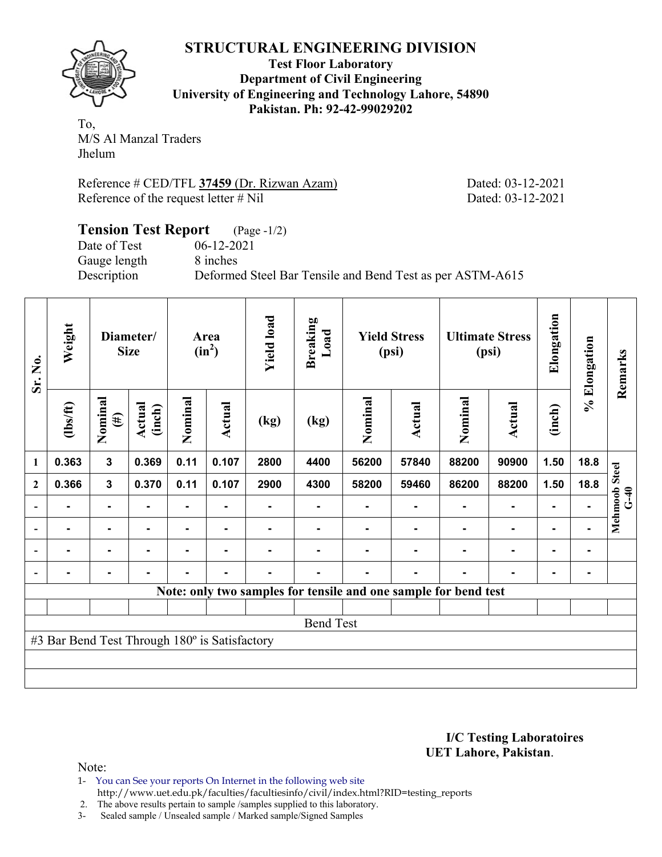**Test Floor Laboratory Department of Civil Engineering University of Engineering and Technology Lahore, 54890 Pakistan. Ph: 92-42-99029202** 

To, M/S Al Manzal Traders Jhelum

Reference # CED/TFL **37459** (Dr. Rizwan Azam) Dated: 03-12-2021 Reference of the request letter # Nil Dated: 03-12-2021

### **Tension Test Report** (Page -1/2) Date of Test 06-12-2021<br>Gauge length 8 inches Gauge length Description Deformed Steel Bar Tensile and Bend Test as per ASTM-A615

| Sr. No.                  | Weight                                        |                   | Diameter/<br><b>Size</b> |         | Area<br>$(in^2)$ | <b>Yield load</b> | <b>Breaking</b><br>Load                                         |         | <b>Yield Stress</b><br>(psi) |         | <b>Ultimate Stress</b><br>(psi) | Elongation | % Elongation | Remarks                 |
|--------------------------|-----------------------------------------------|-------------------|--------------------------|---------|------------------|-------------------|-----------------------------------------------------------------|---------|------------------------------|---------|---------------------------------|------------|--------------|-------------------------|
|                          | $\frac{2}{10}$                                | Nominal<br>$(\#)$ | Actual<br>(inch)         | Nominal | Actual           | (kg)              | (kg)                                                            | Nominal | <b>Actual</b>                | Nominal | <b>Actual</b>                   | (inch)     |              |                         |
| 1                        | 0.363                                         | 3                 | 0.369                    | 0.11    | 0.107            | 2800              | 4400                                                            | 56200   | 57840                        | 88200   | 90900                           | 1.50       | 18.8         |                         |
| $\mathbf{2}$             | 0.366                                         | 3                 | 0.370                    | 0.11    | 0.107            | 2900              | 4300                                                            | 58200   | 59460                        | 86200   | 88200                           | 1.50       | 18.8         |                         |
| $\overline{\phantom{0}}$ |                                               | ۰                 |                          |         |                  |                   |                                                                 |         |                              |         |                                 |            |              | Mehmoob Steel<br>$G-40$ |
| $\blacksquare$           |                                               | $\blacksquare$    |                          |         |                  |                   |                                                                 |         |                              |         |                                 |            |              |                         |
| $\overline{\phantom{a}}$ |                                               | $\blacksquare$    |                          |         |                  |                   |                                                                 |         |                              |         |                                 |            | ۰            |                         |
| $\blacksquare$           | -                                             | $\blacksquare$    |                          |         |                  |                   |                                                                 |         |                              |         |                                 |            | ۰            |                         |
|                          |                                               |                   |                          |         |                  |                   | Note: only two samples for tensile and one sample for bend test |         |                              |         |                                 |            |              |                         |
|                          |                                               |                   |                          |         |                  |                   |                                                                 |         |                              |         |                                 |            |              |                         |
|                          |                                               |                   |                          |         |                  |                   | <b>Bend Test</b>                                                |         |                              |         |                                 |            |              |                         |
|                          | #3 Bar Bend Test Through 180° is Satisfactory |                   |                          |         |                  |                   |                                                                 |         |                              |         |                                 |            |              |                         |
|                          |                                               |                   |                          |         |                  |                   |                                                                 |         |                              |         |                                 |            |              |                         |
|                          |                                               |                   |                          |         |                  |                   |                                                                 |         |                              |         |                                 |            |              |                         |

### **I/C Testing Laboratoires UET Lahore, Pakistan**.

- 1- You can See your reports On Internet in the following web site http://www.uet.edu.pk/faculties/facultiesinfo/civil/index.html?RID=testing\_reports
- 2. The above results pertain to sample /samples supplied to this laboratory.
- 3- Sealed sample / Unsealed sample / Marked sample/Signed Samples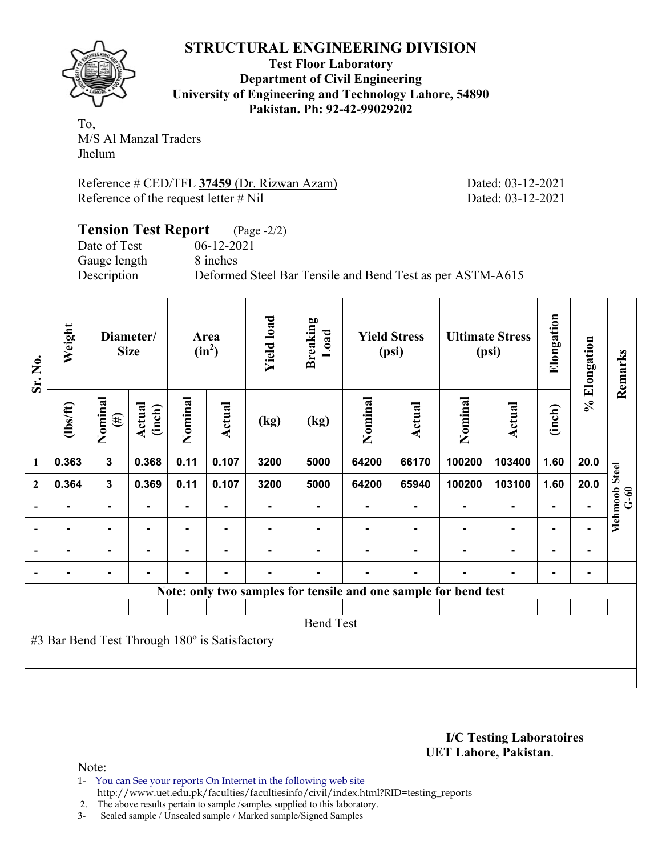**Test Floor Laboratory Department of Civil Engineering University of Engineering and Technology Lahore, 54890 Pakistan. Ph: 92-42-99029202** 

To, M/S Al Manzal Traders Jhelum

Reference # CED/TFL **37459** (Dr. Rizwan Azam) Dated: 03-12-2021 Reference of the request letter # Nil Dated: 03-12-2021

### **Tension Test Report** (Page -2/2) Date of Test 06-12-2021<br>Gauge length 8 inches Gauge length Description Deformed Steel Bar Tensile and Bend Test as per ASTM-A615

| Sr. No.                  | Weight                                        |                   | Diameter/<br><b>Size</b> |         | Area<br>$(in^2)$ | <b>Yield load</b> | <b>Breaking</b><br>Load                                         |         | <b>Yield Stress</b><br>(psi) |         | <b>Ultimate Stress</b><br>(psi) | Elongation     | % Elongation | Remarks                 |
|--------------------------|-----------------------------------------------|-------------------|--------------------------|---------|------------------|-------------------|-----------------------------------------------------------------|---------|------------------------------|---------|---------------------------------|----------------|--------------|-------------------------|
|                          | $\frac{2}{10}$                                | Nominal<br>$(\#)$ | Actual<br>(inch)         | Nominal | Actual           | (kg)              | (kg)                                                            | Nominal | <b>Actual</b>                | Nominal | Actual                          | (inch)         |              |                         |
| 1                        | 0.363                                         | 3                 | 0.368                    | 0.11    | 0.107            | 3200              | 5000                                                            | 64200   | 66170                        | 100200  | 103400                          | 1.60           | 20.0         |                         |
| $\overline{2}$           | 0.364                                         | 3                 | 0.369                    | 0.11    | 0.107            | 3200              | 5000                                                            | 64200   | 65940                        | 100200  | 103100                          | 1.60           | 20.0         |                         |
|                          |                                               | $\blacksquare$    |                          | ۰       |                  |                   |                                                                 |         |                              |         |                                 |                |              | Mehmoob Steel<br>$G-60$ |
| $\overline{\phantom{a}}$ |                                               | $\blacksquare$    |                          |         |                  |                   |                                                                 |         |                              |         |                                 |                |              |                         |
| $\overline{\phantom{a}}$ | -                                             | $\blacksquare$    | $\blacksquare$           |         | -                |                   |                                                                 |         |                              |         |                                 | $\blacksquare$ | ۰            |                         |
| $\blacksquare$           | -                                             | ۰                 |                          |         | -                |                   |                                                                 |         |                              |         |                                 | -              | ٠            |                         |
|                          |                                               |                   |                          |         |                  |                   | Note: only two samples for tensile and one sample for bend test |         |                              |         |                                 |                |              |                         |
|                          |                                               |                   |                          |         |                  |                   |                                                                 |         |                              |         |                                 |                |              |                         |
|                          |                                               |                   |                          |         |                  |                   | <b>Bend Test</b>                                                |         |                              |         |                                 |                |              |                         |
|                          | #3 Bar Bend Test Through 180° is Satisfactory |                   |                          |         |                  |                   |                                                                 |         |                              |         |                                 |                |              |                         |
|                          |                                               |                   |                          |         |                  |                   |                                                                 |         |                              |         |                                 |                |              |                         |
|                          |                                               |                   |                          |         |                  |                   |                                                                 |         |                              |         |                                 |                |              |                         |

### **I/C Testing Laboratoires UET Lahore, Pakistan**.

- 1- You can See your reports On Internet in the following web site http://www.uet.edu.pk/faculties/facultiesinfo/civil/index.html?RID=testing\_reports
- 2. The above results pertain to sample /samples supplied to this laboratory.
- 3- Sealed sample / Unsealed sample / Marked sample/Signed Samples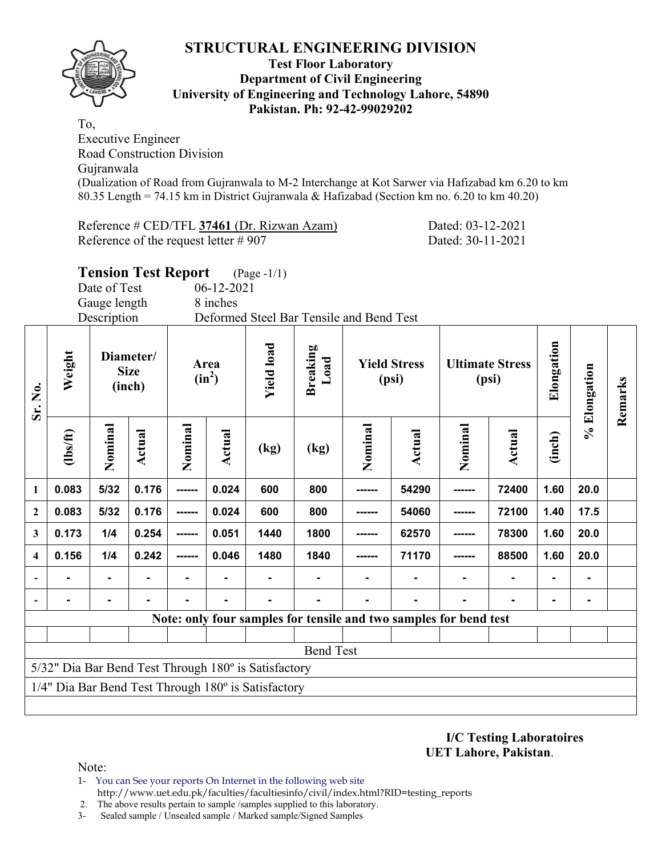

### **Test Floor Laboratory Department of Civil Engineering University of Engineering and Technology Lahore, 54890 Pakistan. Ph: 92-42-99029202**

To, Executive Engineer Road Construction Division Gujranwala (Dualization of Road from Gujranwala to M-2 Interchange at Kot Sarwer via Hafizabad km 6.20 to km 80.35 Length = 74.15 km in District Gujranwala & Hafizabad (Section km no. 6.20 to km 40.20)

Reference # CED/TFL **37461** (Dr. Rizwan Azam) Dated: 03-12-2021 Reference of the request letter # 907 Dated: 30-11-2021

|                |  | <b>Tension Test Report</b> | $(Page -1/1)$ |
|----------------|--|----------------------------|---------------|
| $\blacksquare$ |  |                            |               |

Date of Test 06-12-2021

Gauge length 8 inches Description Deformed Steel Bar Tensile and Bend Test

| Sr. No.      | Weight         |                                                                   | Diameter/<br><b>Size</b><br>(inch) |         | Area<br>$(in^2)$ | <b>Yield load</b>                                    | <b>Breaking</b><br>Load |         | <b>Yield Stress</b><br>(psi) |         | <b>Ultimate Stress</b><br>(psi) | Elongation | % Elongation | Remarks |
|--------------|----------------|-------------------------------------------------------------------|------------------------------------|---------|------------------|------------------------------------------------------|-------------------------|---------|------------------------------|---------|---------------------------------|------------|--------------|---------|
|              | $\frac{2}{10}$ | Nominal                                                           | Actual                             | Nominal | Actual           | (kg)                                                 | (kg)                    | Nominal | <b>Actual</b>                | Nominal | <b>Actual</b>                   | (inch)     |              |         |
| 1            | 0.083          | 5/32                                                              | 0.176                              | ------  | 0.024            | 600                                                  | 800                     | ------  | 54290                        |         | 72400                           | 1.60       | 20.0         |         |
| $\mathbf{2}$ | 0.083          | 5/32                                                              | 0.176                              | ------  | 0.024            | 600                                                  | 800                     | ------  | 54060                        |         | 72100                           | 1.40       | 17.5         |         |
| 3            | 0.173          | 1/4                                                               | 0.254                              | ------  | 0.051            | 1440                                                 | 1800                    | ------  | 62570                        |         | 78300                           | 1.60       | 20.0         |         |
| 4            | 0.156          | 1/4                                                               | 0.242                              | ------  | 0.046            | 1480                                                 | 1840                    | ------- | 71170                        | ------  | 88500                           | 1.60       | 20.0         |         |
|              |                | $\blacksquare$                                                    |                                    |         |                  |                                                      |                         |         |                              |         |                                 |            |              |         |
|              |                |                                                                   |                                    |         |                  |                                                      |                         |         |                              |         | $\blacksquare$                  |            |              |         |
|              |                | Note: only four samples for tensile and two samples for bend test |                                    |         |                  |                                                      |                         |         |                              |         |                                 |            |              |         |
|              |                |                                                                   |                                    |         |                  |                                                      |                         |         |                              |         |                                 |            |              |         |
|              |                |                                                                   |                                    |         |                  |                                                      | <b>Bend Test</b>        |         |                              |         |                                 |            |              |         |
|              |                |                                                                   |                                    |         |                  | 5/32" Dia Bar Bend Test Through 180° is Satisfactory |                         |         |                              |         |                                 |            |              |         |
|              |                |                                                                   |                                    |         |                  | 1/4" Dia Bar Bend Test Through 180° is Satisfactory  |                         |         |                              |         |                                 |            |              |         |
|              |                |                                                                   |                                    |         |                  |                                                      |                         |         |                              |         |                                 |            |              |         |

**I/C Testing Laboratoires UET Lahore, Pakistan**.

Note:

- 1- You can See your reports On Internet in the following web site http://www.uet.edu.pk/faculties/facultiesinfo/civil/index.html?RID=testing\_reports
- 2. The above results pertain to sample /samples supplied to this laboratory.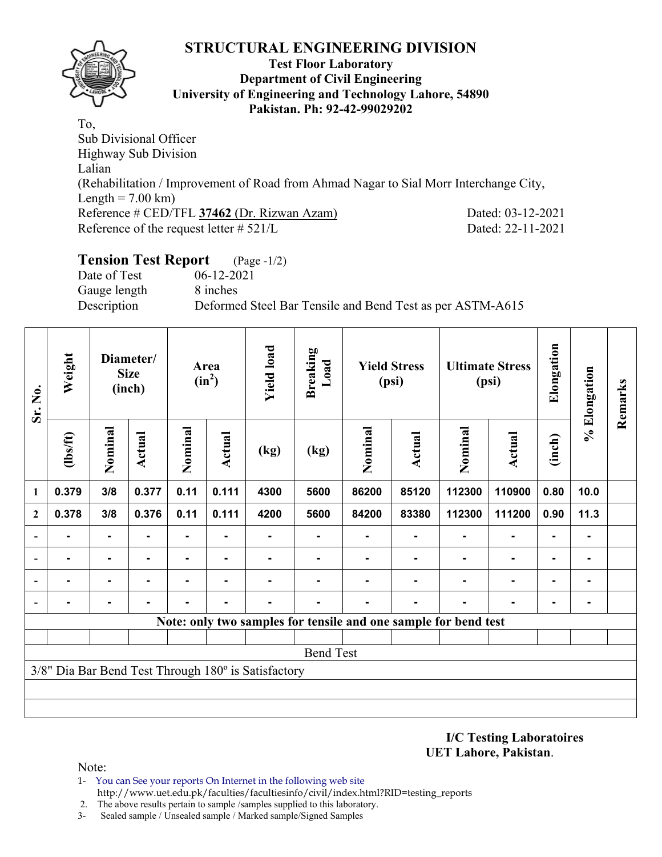

### **Test Floor Laboratory Department of Civil Engineering University of Engineering and Technology Lahore, 54890 Pakistan. Ph: 92-42-99029202**

To, Sub Divisional Officer Highway Sub Division Lalian (Rehabilitation / Improvement of Road from Ahmad Nagar to Sial Morr Interchange City, Length =  $7.00 \text{ km}$ ) Reference # CED/TFL **37462** (Dr. Rizwan Azam) Dated: 03-12-2021 Reference of the request letter # 521/L Dated: 22-11-2021

# **Tension Test Report** (Page -1/2)

Date of Test 06-12-2021 Gauge length 8 inches

Description Deformed Steel Bar Tensile and Bend Test as per ASTM-A615

| Sr. No.                  | Weight         |                | Diameter/<br><b>Size</b><br>(inch) |                | Area<br>$(in^2)$ | <b>Yield load</b>                                   | <b>Breaking</b><br>Load |         | <b>Yield Stress</b><br>(psi) |                                                                 | <b>Ultimate Stress</b><br>(psi) | Elongation     | % Elongation   | Remarks |
|--------------------------|----------------|----------------|------------------------------------|----------------|------------------|-----------------------------------------------------|-------------------------|---------|------------------------------|-----------------------------------------------------------------|---------------------------------|----------------|----------------|---------|
|                          | $\frac{2}{10}$ | Nominal        | Actual                             | Nominal        | <b>Actual</b>    | (kg)                                                | (kg)                    | Nominal | Actual                       | Nominal                                                         | <b>Actual</b>                   | (inch)         |                |         |
| 1                        | 0.379          | 3/8            | 0.377                              | 0.11           | 0.111            | 4300                                                | 5600                    | 86200   | 85120                        | 112300                                                          | 110900                          | 0.80           | 10.0           |         |
| $\mathbf{2}$             | 0.378          | 3/8            | 0.376                              | 0.11           | 0.111            | 4200                                                | 5600                    | 84200   | 83380                        | 112300                                                          | 111200                          | 0.90           | 11.3           |         |
|                          |                | $\blacksquare$ |                                    | ۰              |                  |                                                     |                         |         |                              |                                                                 | $\blacksquare$                  | $\blacksquare$ | $\blacksquare$ |         |
| $\overline{a}$           |                | ۰              |                                    | -              |                  |                                                     |                         |         |                              |                                                                 | ٠                               | $\blacksquare$ | $\blacksquare$ |         |
| $\blacksquare$           | $\blacksquare$ | $\blacksquare$ | $\blacksquare$                     | $\blacksquare$ |                  |                                                     |                         |         |                              |                                                                 | $\blacksquare$                  | $\blacksquare$ | $\blacksquare$ |         |
| $\overline{\phantom{0}}$ | $\blacksquare$ | ۰              |                                    |                |                  |                                                     |                         |         | $\blacksquare$               | ۰                                                               | $\blacksquare$                  | $\blacksquare$ | ۰              |         |
|                          |                |                |                                    |                |                  |                                                     |                         |         |                              | Note: only two samples for tensile and one sample for bend test |                                 |                |                |         |
|                          |                |                |                                    |                |                  |                                                     |                         |         |                              |                                                                 |                                 |                |                |         |
|                          |                |                |                                    |                |                  |                                                     | <b>Bend Test</b>        |         |                              |                                                                 |                                 |                |                |         |
|                          |                |                |                                    |                |                  | 3/8" Dia Bar Bend Test Through 180° is Satisfactory |                         |         |                              |                                                                 |                                 |                |                |         |
|                          |                |                |                                    |                |                  |                                                     |                         |         |                              |                                                                 |                                 |                |                |         |
|                          |                |                |                                    |                |                  |                                                     |                         |         |                              |                                                                 |                                 |                |                |         |

**I/C Testing Laboratoires UET Lahore, Pakistan**.

- 1- You can See your reports On Internet in the following web site http://www.uet.edu.pk/faculties/facultiesinfo/civil/index.html?RID=testing\_reports
- 2. The above results pertain to sample /samples supplied to this laboratory.
- 3- Sealed sample / Unsealed sample / Marked sample/Signed Samples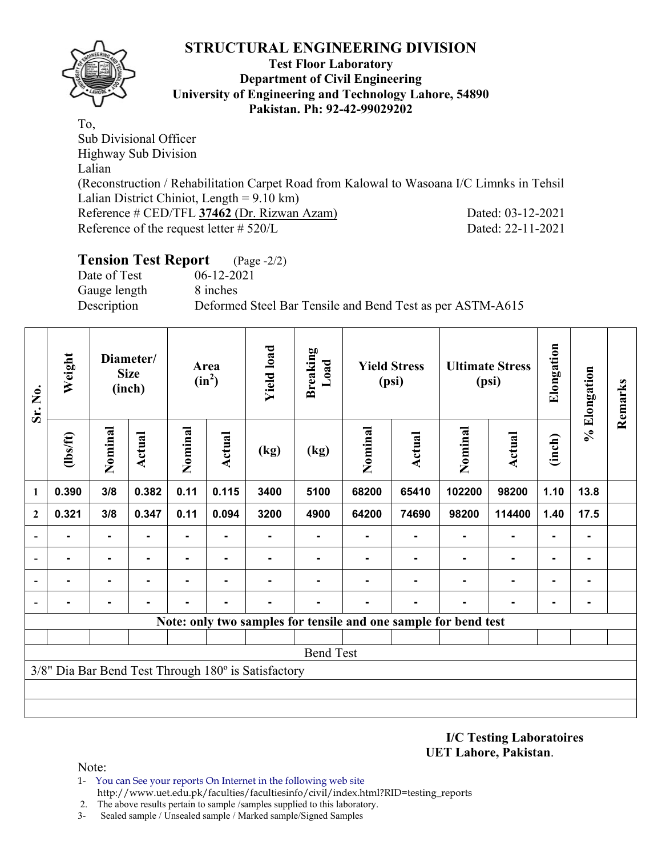

### **Test Floor Laboratory Department of Civil Engineering University of Engineering and Technology Lahore, 54890 Pakistan. Ph: 92-42-99029202**

To, Sub Divisional Officer Highway Sub Division Lalian (Reconstruction / Rehabilitation Carpet Road from Kalowal to Wasoana I/C Limnks in Tehsil Lalian District Chiniot, Length = 9.10 km) Reference # CED/TFL **37462** (Dr. Rizwan Azam) Dated: 03-12-2021 Reference of the request letter # 520/L Dated: 22-11-2021

# **Tension Test Report** (Page -2/2)

Date of Test 06-12-2021 Gauge length 8 inches

Description Deformed Steel Bar Tensile and Bend Test as per ASTM-A615

| Weight<br>Sr. No.        |                |                | Diameter/<br><b>Size</b><br>(inch) |                | Area<br>$(in^2)$ | <b>Yield load</b>                                   | <b>Breaking</b><br>Load                                         |         | <b>Yield Stress</b><br>(psi) |         | <b>Ultimate Stress</b><br>(psi) | Elongation     | % Elongation   | Remarks |
|--------------------------|----------------|----------------|------------------------------------|----------------|------------------|-----------------------------------------------------|-----------------------------------------------------------------|---------|------------------------------|---------|---------------------------------|----------------|----------------|---------|
|                          | $\frac{2}{10}$ | Nominal        | <b>Actual</b>                      | Nominal        | <b>Actual</b>    | (kg)                                                | (kg)                                                            | Nominal | Actual                       | Nominal | <b>Actual</b>                   | (inch)         |                |         |
| 1                        | 0.390          | 3/8            | 0.382                              | 0.11           | 0.115            | 3400                                                | 5100                                                            | 68200   | 65410                        | 102200  | 98200                           | 1.10           | 13.8           |         |
| $\mathbf{2}$             | 0.321          | 3/8            | 0.347                              | 0.11           | 0.094            | 3200                                                | 4900                                                            | 64200   | 74690                        | 98200   | 114400                          | 1.40           | 17.5           |         |
|                          |                | ٠              |                                    | ۰              |                  |                                                     |                                                                 |         |                              |         | $\blacksquare$                  | $\blacksquare$ | $\blacksquare$ |         |
| $\overline{a}$           |                | $\blacksquare$ |                                    |                |                  |                                                     |                                                                 |         |                              |         |                                 | $\blacksquare$ | ۰              |         |
| $\overline{\phantom{0}}$ | $\blacksquare$ | ۰              | $\blacksquare$                     | $\blacksquare$ | $\blacksquare$   |                                                     |                                                                 |         |                              |         | $\blacksquare$                  | $\blacksquare$ | $\blacksquare$ |         |
| $\blacksquare$           |                | ۰              |                                    |                |                  |                                                     |                                                                 |         |                              | ۰       | ۰                               | $\blacksquare$ | ۰              |         |
|                          |                |                |                                    |                |                  |                                                     | Note: only two samples for tensile and one sample for bend test |         |                              |         |                                 |                |                |         |
|                          |                |                |                                    |                |                  |                                                     |                                                                 |         |                              |         |                                 |                |                |         |
|                          |                |                |                                    |                |                  |                                                     | <b>Bend Test</b>                                                |         |                              |         |                                 |                |                |         |
|                          |                |                |                                    |                |                  | 3/8" Dia Bar Bend Test Through 180° is Satisfactory |                                                                 |         |                              |         |                                 |                |                |         |
|                          |                |                |                                    |                |                  |                                                     |                                                                 |         |                              |         |                                 |                |                |         |
|                          |                |                |                                    |                |                  |                                                     |                                                                 |         |                              |         |                                 |                |                |         |

**I/C Testing Laboratoires UET Lahore, Pakistan**.

Note:

1- You can See your reports On Internet in the following web site http://www.uet.edu.pk/faculties/facultiesinfo/civil/index.html?RID=testing\_reports

2. The above results pertain to sample /samples supplied to this laboratory.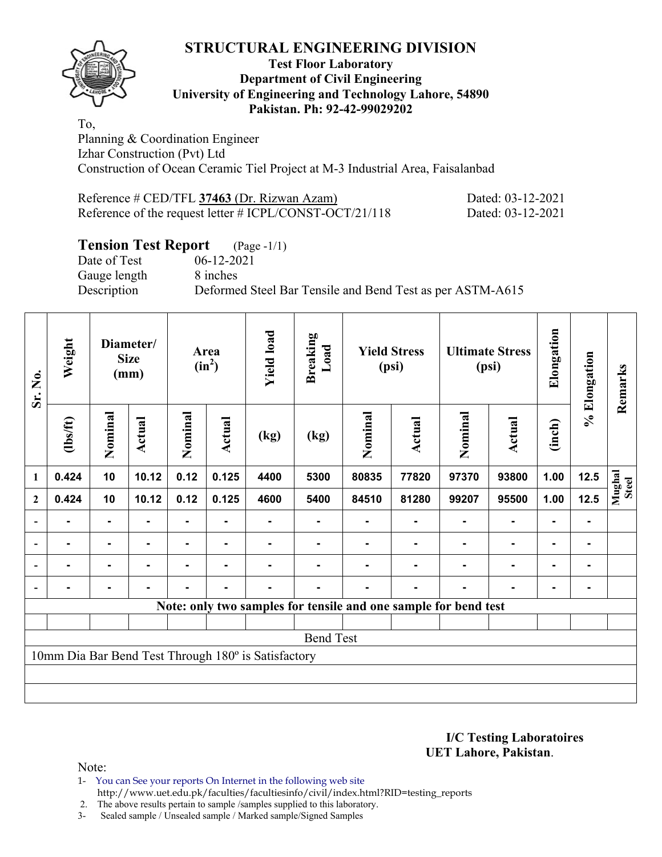

### **Test Floor Laboratory Department of Civil Engineering University of Engineering and Technology Lahore, 54890 Pakistan. Ph: 92-42-99029202**

To, Planning & Coordination Engineer Izhar Construction (Pvt) Ltd Construction of Ocean Ceramic Tiel Project at M-3 Industrial Area, Faisalanbad

| Reference # CED/TFL 37463 (Dr. Rizwan Azam)                | Dated: 03-12-2021 |
|------------------------------------------------------------|-------------------|
| Reference of the request letter $\#$ ICPL/CONST-OCT/21/118 | Dated: 03-12-2021 |

# **Tension Test Report** (Page -1/1)<br>Date of Test 06-12-2021

Gauge length 8 inches

06-12-2021 Description Deformed Steel Bar Tensile and Bend Test as per ASTM-A615

| Sr. No.                  | Weight<br>Diameter/<br><b>Size</b><br>(mm) |                |                |                | Area<br>$(in^2)$ | <b>Yield load</b>                                   | <b>Breaking</b><br>Load |                | <b>Yield Stress</b><br>(psi)                                    |         | <b>Ultimate Stress</b><br>(psi) | Elongation     | % Elongation | Remarks                |
|--------------------------|--------------------------------------------|----------------|----------------|----------------|------------------|-----------------------------------------------------|-------------------------|----------------|-----------------------------------------------------------------|---------|---------------------------------|----------------|--------------|------------------------|
|                          | $\frac{2}{10}$                             | Nominal        | Actual         | Nominal        | Actual           | (kg)                                                | (kg)                    | Nominal        | Actual                                                          | Nominal | Actual                          | (inch)         |              |                        |
| $\mathbf{1}$             | 0.424                                      | 10             | 10.12          | 0.12           | 0.125            | 4400                                                | 5300                    | 80835          | 77820                                                           | 97370   | 93800                           | 1.00           | 12.5         | Mughal<br><b>Steel</b> |
| $\boldsymbol{2}$         | 0.424                                      | 10             | 10.12          | 0.12           | 0.125            | 4600                                                | 5400                    | 84510          | 81280                                                           | 99207   | 95500                           | 1.00           | 12.5         |                        |
| $\overline{\phantom{a}}$ | $\blacksquare$                             | Ξ.             |                |                |                  |                                                     |                         |                |                                                                 |         |                                 |                | ۰            |                        |
| $\blacksquare$           | ۰                                          | $\blacksquare$ | $\blacksquare$ | ٠              | $\blacksquare$   |                                                     |                         | $\blacksquare$ |                                                                 |         | ۰                               | $\blacksquare$ | ۰.           |                        |
|                          | $\blacksquare$                             | $\blacksquare$ | $\blacksquare$ | $\blacksquare$ | ۰                |                                                     |                         |                |                                                                 |         | ۰                               |                | ۰            |                        |
|                          |                                            |                |                |                |                  |                                                     |                         |                |                                                                 |         |                                 |                |              |                        |
|                          |                                            |                |                |                |                  |                                                     |                         |                | Note: only two samples for tensile and one sample for bend test |         |                                 |                |              |                        |
|                          |                                            |                |                |                |                  |                                                     |                         |                |                                                                 |         |                                 |                |              |                        |
|                          |                                            |                |                |                |                  |                                                     | <b>Bend Test</b>        |                |                                                                 |         |                                 |                |              |                        |
|                          |                                            |                |                |                |                  | 10mm Dia Bar Bend Test Through 180° is Satisfactory |                         |                |                                                                 |         |                                 |                |              |                        |
|                          |                                            |                |                |                |                  |                                                     |                         |                |                                                                 |         |                                 |                |              |                        |
|                          |                                            |                |                |                |                  |                                                     |                         |                |                                                                 |         |                                 |                |              |                        |

**I/C Testing Laboratoires UET Lahore, Pakistan**.

- 1- You can See your reports On Internet in the following web site http://www.uet.edu.pk/faculties/facultiesinfo/civil/index.html?RID=testing\_reports
- 2. The above results pertain to sample /samples supplied to this laboratory.
- 3- Sealed sample / Unsealed sample / Marked sample/Signed Samples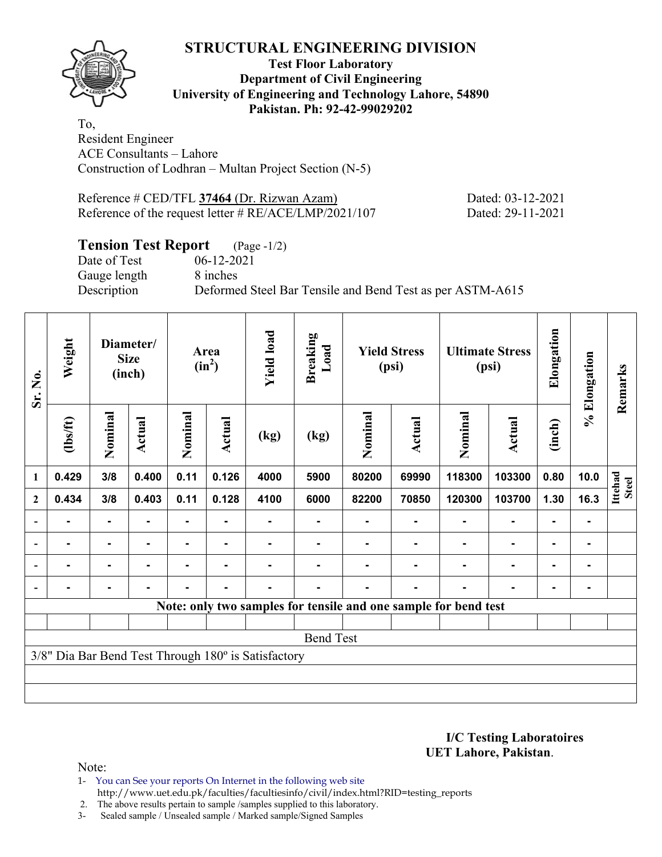**Test Floor Laboratory Department of Civil Engineering University of Engineering and Technology Lahore, 54890 Pakistan. Ph: 92-42-99029202** 

To, Resident Engineer ACE Consultants – Lahore Construction of Lodhran – Multan Project Section (N-5)

Reference # CED/TFL **37464** (Dr. Rizwan Azam) Dated: 03-12-2021 Reference of the request letter # RE/ACE/LMP/2021/107 Dated: 29-11-2021

# **Tension Test Report** (Page -1/2)

Date of Test 06-12-2021 Gauge length 8 inches

Description Deformed Steel Bar Tensile and Bend Test as per ASTM-A615

| Sr. No.        | Weight   |                | Diameter/<br><b>Size</b><br>(inch) |         | Area<br>$(in^2)$ | <b>Yield load</b>                                   | <b>Breaking</b><br>Load                                         |         | <b>Yield Stress</b><br>(psi) |         | <b>Ultimate Stress</b><br>(psi) | Elongation     | % Elongation | Remarks      |
|----------------|----------|----------------|------------------------------------|---------|------------------|-----------------------------------------------------|-----------------------------------------------------------------|---------|------------------------------|---------|---------------------------------|----------------|--------------|--------------|
|                | (1bs/ft) | Nominal        | Actual                             | Nominal | <b>Actual</b>    | (kg)                                                | (kg)                                                            | Nominal | Actual                       | Nominal | <b>Actual</b>                   | (inch)         |              |              |
| 1              | 0.429    | 3/8            | 0.400                              | 0.11    | 0.126            | 4000                                                | 5900                                                            | 80200   | 69990                        | 118300  | 103300                          | 0.80           | 10.0         | Ittehad      |
| $\overline{2}$ | 0.434    | 3/8            | 0.403                              | 0.11    | 0.128            | 4100                                                | 6000                                                            | 82200   | 70850                        | 120300  | 103700                          | 1.30           | 16.3         | <b>Steel</b> |
| $\blacksquare$ |          | ۰              |                                    |         | ٠                |                                                     |                                                                 |         |                              |         | $\blacksquare$                  | $\blacksquare$ |              |              |
| $\blacksquare$ | ۰        | $\blacksquare$ | ۰                                  |         | $\blacksquare$   |                                                     |                                                                 |         |                              |         | $\blacksquare$                  | $\blacksquare$ |              |              |
|                | ۰        | ۰              | $\blacksquare$                     | ٠       | $\blacksquare$   | -                                                   |                                                                 |         |                              |         | $\blacksquare$                  | $\blacksquare$ |              |              |
|                |          | $\blacksquare$ |                                    |         | ٠                |                                                     |                                                                 |         |                              |         | $\blacksquare$                  | $\blacksquare$ |              |              |
|                |          |                |                                    |         |                  |                                                     | Note: only two samples for tensile and one sample for bend test |         |                              |         |                                 |                |              |              |
|                |          |                |                                    |         |                  |                                                     |                                                                 |         |                              |         |                                 |                |              |              |
|                |          |                |                                    |         |                  |                                                     | <b>Bend Test</b>                                                |         |                              |         |                                 |                |              |              |
|                |          |                |                                    |         |                  | 3/8" Dia Bar Bend Test Through 180° is Satisfactory |                                                                 |         |                              |         |                                 |                |              |              |
|                |          |                |                                    |         |                  |                                                     |                                                                 |         |                              |         |                                 |                |              |              |
|                |          |                |                                    |         |                  |                                                     |                                                                 |         |                              |         |                                 |                |              |              |

**I/C Testing Laboratoires UET Lahore, Pakistan**.

Note:

1- You can See your reports On Internet in the following web site http://www.uet.edu.pk/faculties/facultiesinfo/civil/index.html?RID=testing\_reports

2. The above results pertain to sample /samples supplied to this laboratory.